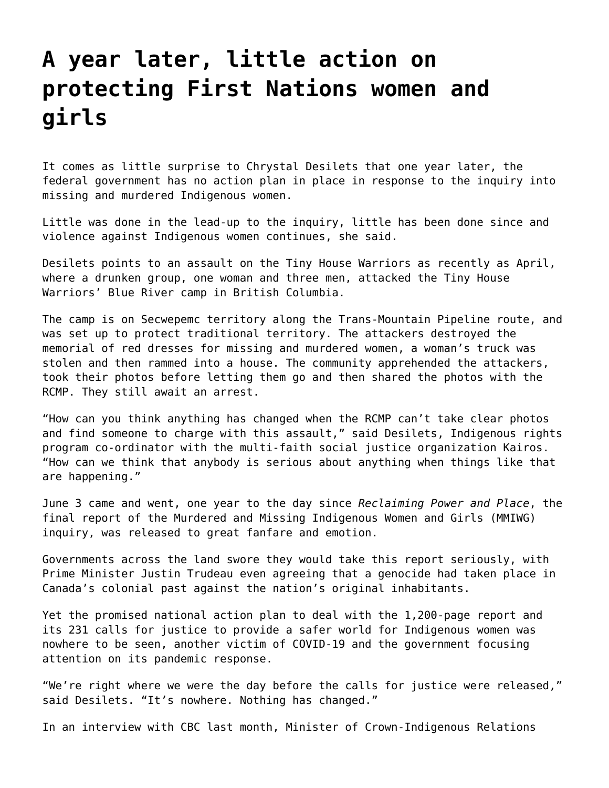## **[A year later, little action on](https://grandinmedia.ca/a-year-later-little-action-on-protecting-first-nations-women-and-girls/) [protecting First Nations women and](https://grandinmedia.ca/a-year-later-little-action-on-protecting-first-nations-women-and-girls/) [girls](https://grandinmedia.ca/a-year-later-little-action-on-protecting-first-nations-women-and-girls/)**

It comes as little surprise to Chrystal Desilets that one year later, the federal government has no action plan in place in response to the inquiry into missing and murdered Indigenous women.

Little was done in the lead-up to the inquiry, little has been done since and violence against Indigenous women continues, she said.

Desilets points to an assault on the Tiny House Warriors as recently as April, where a drunken group, one woman and three men, attacked the Tiny House Warriors' Blue River camp in British Columbia.

The camp is on Secwepemc territory along the Trans-Mountain Pipeline route, and was set up to protect traditional territory. The attackers destroyed the memorial of red dresses for missing and murdered women, a woman's truck was stolen and then rammed into a house. The community apprehended the attackers, took their photos before letting them go and then shared the photos with the RCMP. They still await an arrest.

"How can you think anything has changed when the RCMP can't take clear photos and find someone to charge with this assault," said Desilets, Indigenous rights program co-ordinator with the multi-faith social justice organization Kairos. "How can we think that anybody is serious about anything when things like that are happening."

June 3 came and went, one year to the day since *[Reclaiming Power and Place](https://www.mmiwg-ffada.ca/final-report/)*, the final report of the Murdered and Missing Indigenous Women and Girls (MMIWG) inquiry, was released to great fanfare and emotion.

Governments across the land swore they would take this report seriously, with Prime Minister Justin Trudeau even agreeing that a genocide had taken place in Canada's colonial past against the nation's original inhabitants.

Yet the promised national action plan to deal with the 1,200-page report and its 231 calls for justice to provide a safer world for Indigenous women was nowhere to be seen, another victim of COVID-19 and the government focusing attention on its pandemic response.

"We're right where we were the day before the calls for justice were released," said Desilets. "It's nowhere. Nothing has changed."

In an interview with CBC last month, Minister of Crown-Indigenous Relations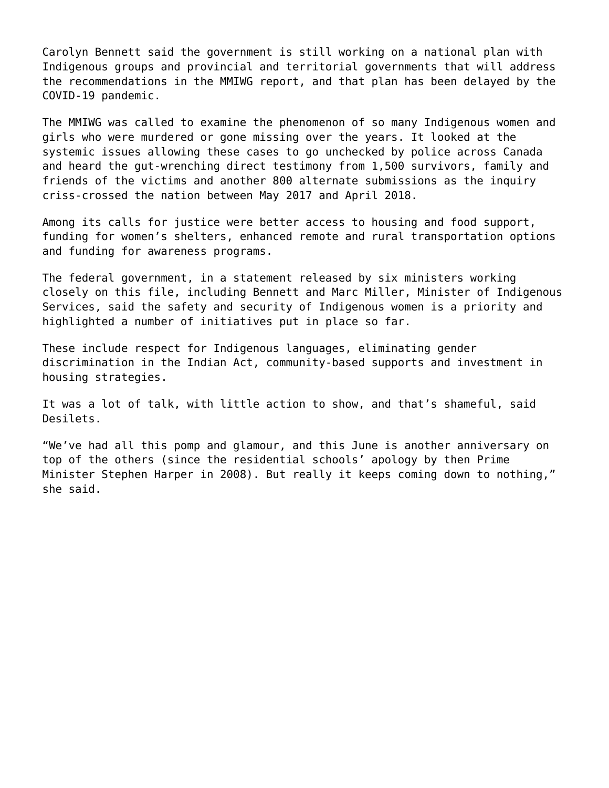Carolyn Bennett said the government is still working on a national plan with Indigenous groups and provincial and territorial governments that will address the recommendations in the MMIWG report, and that plan has been delayed by the COVID-19 pandemic.

The MMIWG was called to examine the phenomenon of so many Indigenous women and girls who were murdered or gone missing over the years. It looked at the systemic issues allowing these cases to go unchecked by police across Canada and heard the gut-wrenching direct testimony from 1,500 survivors, family and friends of the victims and another 800 alternate submissions as the inquiry criss-crossed the nation between May 2017 and April 2018.

Among its calls for justice were better access to housing and food support, funding for women's shelters, enhanced remote and rural transportation options and funding for awareness programs.

The federal government, in a statement released by six ministers working closely on this file, including Bennett and Marc Miller, Minister of Indigenous Services, said the safety and security of Indigenous women is a priority and highlighted a number of initiatives put in place so far.

These include respect for Indigenous languages, eliminating gender discrimination in the Indian Act, community-based supports and investment in housing strategies.

It was a lot of talk, with little action to show, and that's shameful, said Desilets.

"We've had all this pomp and glamour, and this June is another anniversary on top of the others (since the residential schools' apology by then Prime Minister Stephen Harper in 2008). But really it keeps coming down to nothing," she said.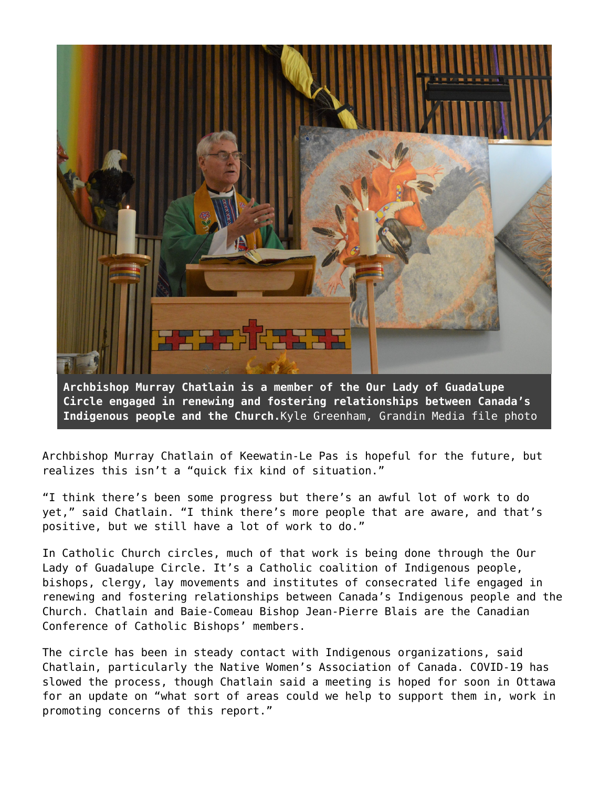

**Archbishop Murray Chatlain is a member of the Our Lady of Guadalupe Circle engaged in renewing and fostering relationships between Canada's Indigenous people and the Church.**Kyle Greenham, Grandin Media file photo

Archbishop Murray Chatlain of [Keewatin-Le Pas](https://archdioceseofkeewatinlepas.ca/wp/) is hopeful for the future, but realizes this isn't a "quick fix kind of situation."

"I think there's been some progress but there's an awful lot of work to do yet," said Chatlain. "I think there's more people that are aware, and that's positive, but we still have a lot of work to do."

In Catholic Church circles, much of that work is being done through the [Our](https://ourladyofguadalupecircle.ca/#:~:text=Our Lady of Guadalupe Circle,and Indigenous Peoples in Canada.) [Lady of Guadalupe Circle](https://ourladyofguadalupecircle.ca/#:~:text=Our Lady of Guadalupe Circle,and Indigenous Peoples in Canada.). It's a Catholic coalition of Indigenous people, bishops, clergy, lay movements and institutes of consecrated life engaged in renewing and fostering relationships between Canada's Indigenous people and the Church. Chatlain and Baie-Comeau Bishop Jean-Pierre Blais are the Canadian Conference of Catholic Bishops' members.

The circle has been in steady contact with Indigenous organizations, said Chatlain, particularly the Native Women's Association of Canada. COVID-19 has slowed the process, though Chatlain said a meeting is hoped for soon in Ottawa for an update on "what sort of areas could we help to support them in, work in promoting concerns of this report."